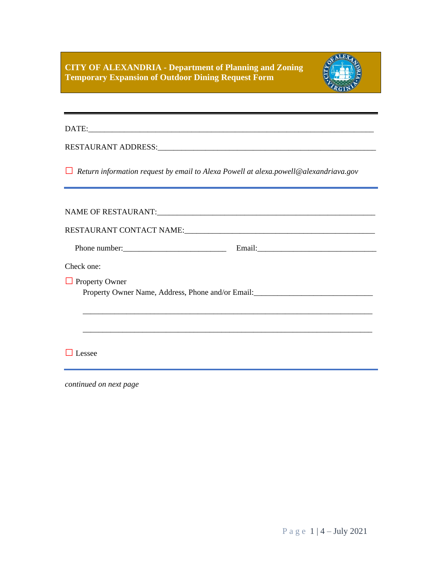**CITY OF ALEXANDRIA - Department of Planning and Zoning Temporary Expansion of Outdoor Dining Request Form**



DATE:\_\_\_\_\_\_\_\_\_\_\_\_\_\_\_\_\_\_\_\_\_\_\_\_\_\_\_\_\_\_\_\_\_\_\_\_\_\_\_\_\_\_\_\_\_\_\_\_\_\_\_\_\_\_\_\_\_\_\_\_\_\_\_\_\_\_\_\_\_\_\_\_

RESTAURANT ADDRESS:\_\_\_\_\_\_\_\_\_\_\_\_\_\_\_\_\_\_\_\_\_\_\_\_\_\_\_\_\_\_\_\_\_\_\_\_\_\_\_\_\_\_\_\_\_\_\_\_\_\_\_\_\_\_\_

**□** *Return information request by email to Alexa Powell at alexa.powell@alexandriava.gov*

| Phone number:                                                                                              |
|------------------------------------------------------------------------------------------------------------|
| Check one:                                                                                                 |
| $\Box$ Property Owner<br>Property Owner Name, Address, Phone and/or Email:________________________________ |
|                                                                                                            |
| essee                                                                                                      |

*continued on next page*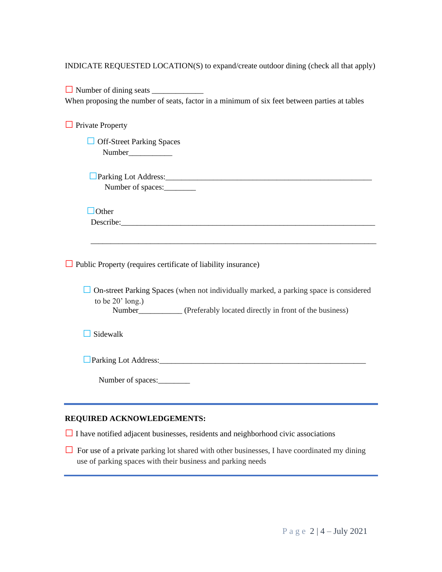INDICATE REQUESTED LOCATION(S) to expand/create outdoor dining (check all that apply)

**□** Number of dining seats \_\_\_\_\_\_\_\_\_\_\_\_\_ When proposing the number of seats, factor in a minimum of six feet between parties at tables

**□**Private Property

 **□** Off-Street Parking Spaces Number

□Parking Lot Address: Number of spaces:

 **□**Other Describe:

**□**Public Property (requires certificate of liability insurance)

□ On-street Parking Spaces (when not individually marked, a parking space is considered to be  $20'$  long.)

\_\_\_\_\_\_\_\_\_\_\_\_\_\_\_\_\_\_\_\_\_\_\_\_\_\_\_\_\_\_\_\_\_\_\_\_\_\_\_\_\_\_\_\_\_\_\_\_\_\_\_\_\_\_\_\_\_\_\_\_\_\_\_\_\_\_\_\_\_\_\_\_

Number<br>(Preferably located directly in front of the business)

**□**Sidewalk

□Parking Lot Address: ●

Number of spaces:\_\_\_\_\_\_\_\_

# **REQUIRED ACKNOWLEDGEMENTS:**

**□**<sup>I</sup> have notified adjacent businesses, residents and neighborhood civic associations

□ For use of a private parking lot shared with other businesses, I have coordinated my dining use of parking spaces with their business and parking needs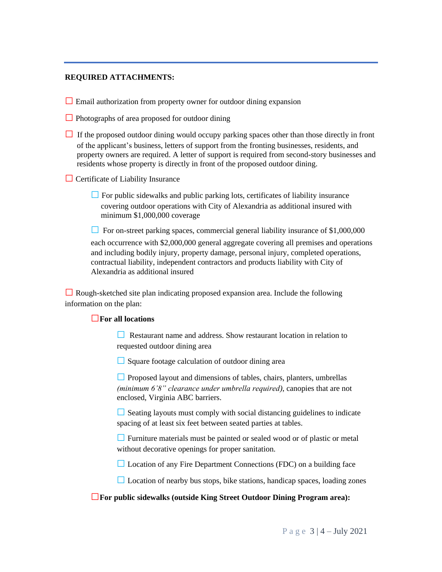# **REQUIRED ATTACHMENTS:**

**□** Email authorization from property owner for outdoor dining expansion

□ Photographs of area proposed for outdoor dining

□ If the proposed outdoor dining would occupy parking spaces other than those directly in front of the applicant's business, letters of support from the fronting businesses, residents, and property owners are required. A letter of support is required from second-story businesses and residents whose property is directly in front of the proposed outdoor dining.

**□** Certificate of Liability Insurance

**□**For public sidewalks and public parking lots, certificates of liability insurance covering outdoor operations with City of Alexandria as additional insured with minimum \$1,000,000 coverage

□ For on-street parking spaces, commercial general liability insurance of \$1,000,000 each occurrence with \$2,000,000 general aggregate covering all premises and operations and including bodily injury, property damage, personal injury, completed operations, contractual liability, independent contractors and products liability with City of Alexandria as additional insured

**□** Rough-sketched site plan indicating proposed expansion area. Include the following information on the plan:

### **□For all locations**

**□** Restaurant name and address. Show restaurant location in relation to requested outdoor dining area

**□**Square footage calculation of outdoor dining area

**□**Proposed layout and dimensions of tables, chairs, planters, umbrellas *(minimum 6'8" clearance under umbrella required)*, canopies that are not enclosed, Virginia ABC barriers.

**□**Seating layouts must comply with social distancing guidelines to indicate spacing of at least six feet between seated parties at tables.

□ Furniture materials must be painted or sealed wood or of plastic or metal without decorative openings for proper sanitation.

**□** Location of any Fire Department Connections (FDC) on a building face

**□** Location of nearby bus stops, bike stations, handicap spaces, loading zones

**□For public sidewalks (outside King Street Outdoor Dining Program area):**